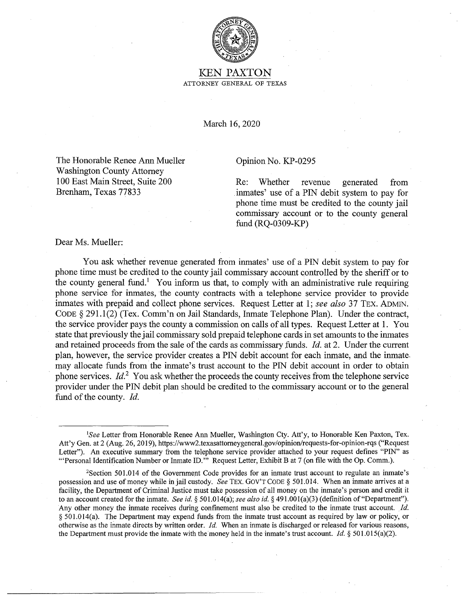

## KEN PAXTON ATTORNEY GENERAL OF TEXAS

March 16, 2020

The Honorable Renee Ann Mueller Washington County Attorney I 00 East Main Street, Suite 200 Brenham, Texas 77833

## Opinion No. KP-0295

Re: Whether revenue generated from inmates' use of a PIN debit system to pay for phone time must be credited to the county jail commissary account or to the county general fund (RQ-0309-KP)

Dear Ms. Mueller:

You ask whether revenue generated from inmates' use of a PIN debit system to pay for phone time must be credited to the county jail commissary account controlled by the sheriff or to the county general fund.<sup>1</sup> You inform us that, to comply with an administrative rule requiring phone service for inmates, the county contracts with a telephone service provider to provide inmates with prepaid and collect phone services. Request Letter at I; *see also* 37 TEX. ADMIN. CODE § 291.1(2) (Tex. Comm'n on Jail Standards, Inmate Telephone Plan). Under the contract, the service provider pays the county a commission on calls of all types. Request Letter at 1. You state that previously the jail commissary sold prepaid telephone cards in set amounts to the inmates and retained proceeds from the sale of the cards as commissary funds. *Id.* at 2. Under the current plan, however, the service provider creates a PIN debit account for each inmate, and the inmate, may allocate funds from the inmate's trust account to the PIN debit account in order to obtain phone services. *Id.*<sup>2</sup> You ask whether the proceeds the county receives from the telephone service provider under the PIN debit plan should be credited to the commissary account or to the general fund of the county. *Id.* 

<sup>&</sup>lt;sup>1</sup>See Letter from Honorable Renee Ann Mueller, Washington Cty. Att'y, to Honorable Ken Paxton, Tex. Att'y Gen. at 2 (Aug. 26, 2019), https://www2.texasattomeygeneral.gov/opinion/requests-for-opinion-rqs ("Request Letter"). An executive summary from the telephone service provider attached to your request defines "PIN" as '"Personal Identification Number or Inmate ID."' Request Letter, Exhibit Bat 7 (on file with the Op. Comm.).

<sup>2</sup>Section 501.014 of the Government Code provides for an inmate trust account to regulate an inmate's possession and use of money while in jail custody. *See* TEX. Gov'T CODE§ 501.014. When an inmate arrives at a facility, the Department of Criminal Justice must take possession of all money on the inmate's person and credit it to an account created for the inmate. *See id.§* 501.014(a); *see also id.§* 491.00l(a)(3) (definition of"Department"). Any other money the inmate receives during confinement must also be credited to the inmate trust account. *.Id.*  § 501.014(a). The Department may expend funds from the inmate trust account as required by law or policy, or otherwise as the inmate directs by written order. *Id.* When an inmate is discharged or released for various reasons, the Department must provide the inmate with the money held in the inmate's trust account. *Id.§* 501.015(a)(2).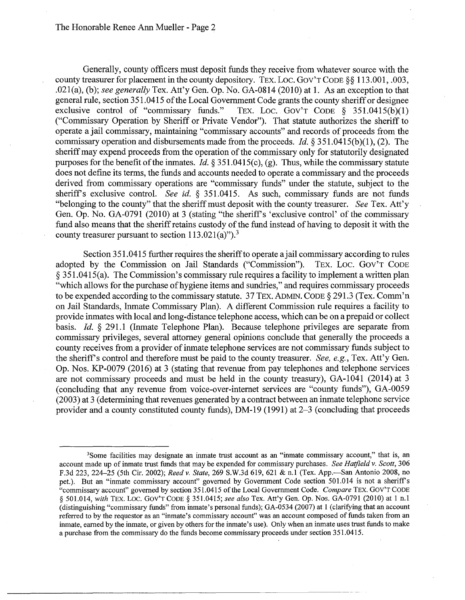Generally, county officers must deposit funds they receive from whatever source with the county treasurer for placement in the county depository. TEX. Loe. Gov'T CODE§§ 113.001, .003, .021(a), (b); *see generally* Tex. Att'y Gen. Op. No. GA-0814 (2010) at 1. As an exception to that general rule, section 351.0415 of the Local Government Code grants the county sheriff or designee exclusive control of "commissary funds." TEX. LOC. GOV'T CODE  $\S$  351.0415(b)(1) TEX. LOC. GOV'T CODE  $\S$  351.0415(b)(1) ("Commissary Operation by Sheriff or Private Vendor"). That statute authorizes the sheriff to operate a jail commissary, maintaining "commissary accounts" and records of proceeds from the commissary operation and disbursements made from the proceeds. *Id.§* 351.0415(b)(l), (2). The sheriff may expend proceeds from the operation of the commissary only for statutorily designated purposes for the benefit of the inmates. *Id.§* 351.0415(c), (g). Thus, while the commissary statute does not define its terms, the funds and accounts needed to operate a commissary and the proceeds derived from commissary operations are "commissary funds" under the statute, subject to the sheriffs exclusive control. *See id.* § 351.0415. As such, commissary funds are not funds "belonging to the county" that the sheriff must deposit with the county treasurer. *See* Tex. Att'y Gen. Op. No. GA-0791 (2010) at 3 (stating "the sheriff's 'exclusive control' of the commissary fund also means that the sheriff retains custody of the fund instead of having to deposit it with the county treasurer pursuant to section  $113.021(a)$ ").<sup>3</sup>

Section 351.0415 further requires the sheriff to operate a jail commissary according to rules adopted by the Commission on Jail Standards ("Commission"). TEX. LOC. GOV'T CODE § 351.0415(a). The Commission's commissary rule requires a facility to implement a written plan "which allows for the purchase of hygiene items and sundries," and requires commissary proceeds to be expended according to the commissary statute. 37 TEX. ADMIN. CODE § 291.3 (Tex. Comm'n on Jail Standards, Inmate Commissary Plan). A different Commission rule requires a facility to provide inmates with local and long-distance telephone access, which can be on a prepaid or collect basis. *Id.* § 291.1 (Inmate Telephone Plan). Because telephone privileges are separate from commissary privileges, several attorney general opinions conclude that generally the proceeds a county receives from a provider of inmate telephone services are not commissary funds subject to the sheriff's control and therefore must be paid to the county treasurer. *See, e.g.*, Tex. Att'y Gen. Op. Nos. KP-0079 (2016) at 3 (stating that revenue from pay telephones and telephone services are not commissary proceeds and must be held in the county treasury), GA-1041 (2014) at 3 (concluding that any revenue from voice-over-internet services are "county funds"), GA-0059 (2003) at 3 ( determining that revenues generated by a contract between an inmate telephone service provider and a county constituted county funds), DM-19 (1991) at 2-3 (concluding that proceeds

<sup>&</sup>lt;sup>3</sup>Some facilities may designate an inmate trust account as an "inmate commissary account," that is, an account made up of inmate trust funds that may be expended for commissary purchases. *See Hatfield v. Scott,* 306 F.3d 223, 224-25 (5th Cir. 2002); *Reed v. State,* 269 S.W.3d 619, 621 & n.1 (Tex. App.-San Antonio 2008, no pet.). But an "inmate commissary account" governed by Government Code section 501.014 is not a sheriffs "commissary account" governed by section 351.0415 of the Local Government Code. *Compare* TEX. GOV'T CODE § 501.014, *with* TEX. Loe. GOV'T CODE§ 351.0415; *see also* Tex. Att'y Gen. Op. Nos. GA-0791 (2010) at 1 n.1 (distinguishing "commissary funds" from inmate's personal funds); GA-0534 (2007) at 1 (clarifying that an account referred to by the requestor as an "inmate's commissary account" was an account composed of funds taken from an inmate, earned by the inmate, or given by others for the inmate's use). Only when an inmate uses trust funds to make a purchase from the commissary do the funds become commissary proceeds under section 351.0415.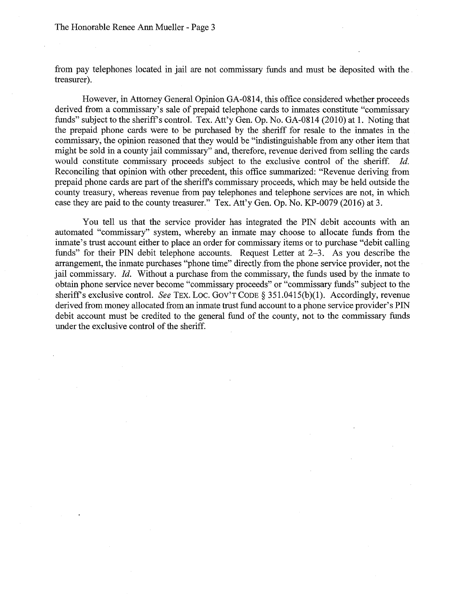from pay telephones located in jail are not commissary funds and must be deposited with the. treasurer).

However, in Attorney General Opinion GA-0814, this office considered whether proceeds derived from a commissary's sale of prepaid telephone cards to inmates constitute "commissary funds" subject to the sheriff's control. Tex. Att'y Gen. Op. No. GA-0814 (2010) at 1. Noting that the prepaid phone cards were to be purchased by the sheriff for resale to the inmates in the commissary, the opinion reasoned that they would be "indistinguishable from any other item that might be sold in a county jail commissary" and, therefore, revenue derived from selling the cards would constitute commissary proceeds subject to the exclusive control of the sheriff. *Id.*  Reconciling that opinion with other precedent, this office summarized: "Revenue deriving from prepaid phone cards are part of the sheriffs commissary proceeds, which may be held outside the county treasury, whereas revenue from pay telephones and telephone services are not, in which case they are paid to the county treasurer." Tex. Att'y Gen. Op. No. KP-0079 (2016) at 3.

You tell us that the service provider has integrated the PIN debit accounts with an automated "commissary" system, whereby an inmate may choose to allocate funds from the inmate's trust account either to place an order for commissary items or to purchase "debit calling funds" for their PIN debit telephone accounts. Request Letter at 2-3. As you describe the arrangement, the inmate purchases "phone time" directly.from the phone service provider, not the jail commissary. *Id.* Without a purchase from the commissary, the funds used by the inmate to obtain phone service never become "commissary proceeds" or "commissary funds" subject to the sheriff's exclusive control. *See TEX. LOC. GOV'T CODE §* 351.0415(b)(1). Accordingly, revenue derived from money allocated from an inmate trust fund account to a phone service provider's PIN debit account must be credited to the general fund of the county, not to the commissary funds under the exclusive control of the sheriff.